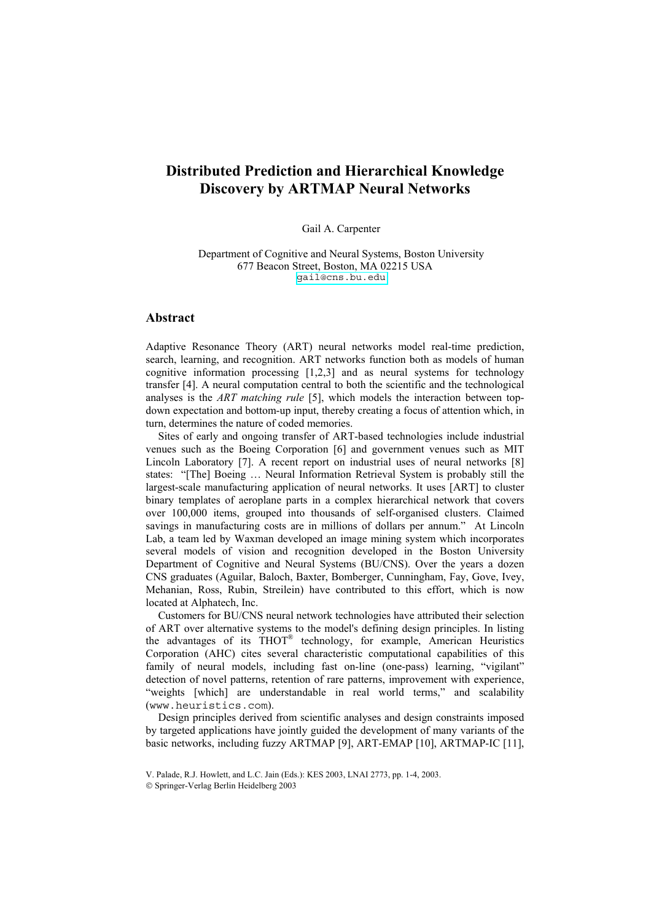## **Distributed Prediction and Hierarchical Knowledge Discovery by ARTMAP Neural Networks**

Gail A. Carpenter

Department of Cognitive and Neural Systems, Boston University 677 Beacon Street, Boston, MA 02215 USA [gail@cns.bu.edu](mailto:gail@cns.bu.edu)

## **Abstract**

Adaptive Resonance Theory (ART) neural networks model real-time prediction, search, learning, and recognition. ART networks function both as models of human cognitive information processing [1,2,3] and as neural systems for technology transfer [4]. A neural computation central to both the scientific and the technological analyses is the *ART matching rule* [5], which models the interaction between topdown expectation and bottom-up input, thereby creating a focus of attention which, in turn, determines the nature of coded memories.

Sites of early and ongoing transfer of ART-based technologies include industrial venues such as the Boeing Corporation [6] and government venues such as MIT Lincoln Laboratory [7]. A recent report on industrial uses of neural networks [8] states: "[The] Boeing … Neural Information Retrieval System is probably still the largest-scale manufacturing application of neural networks. It uses [ART] to cluster binary templates of aeroplane parts in a complex hierarchical network that covers over 100,000 items, grouped into thousands of self-organised clusters. Claimed savings in manufacturing costs are in millions of dollars per annum." At Lincoln Lab, a team led by Waxman developed an image mining system which incorporates several models of vision and recognition developed in the Boston University Department of Cognitive and Neural Systems (BU/CNS). Over the years a dozen CNS graduates (Aguilar, Baloch, Baxter, Bomberger, Cunningham, Fay, Gove, Ivey, Mehanian, Ross, Rubin, Streilein) have contributed to this effort, which is now located at Alphatech, Inc.

Customers for BU/CNS neural network technologies have attributed their selection of ART over alternative systems to the model's defining design principles. In listing the advantages of its  $THOT^{\circledR}$  technology, for example, American Heuristics Corporation (AHC) cites several characteristic computational capabilities of this family of neural models, including fast on-line (one-pass) learning, "vigilant" detection of novel patterns, retention of rare patterns, improvement with experience, "weights [which] are understandable in real world terms," and scalability (www.heuristics.com).

Design principles derived from scientific analyses and design constraints imposed by targeted applications have jointly guided the development of many variants of the basic networks, including fuzzy ARTMAP [9], ART-EMAP [10], ARTMAP-IC [11],

Springer-Verlag Berlin Heidelberg 2003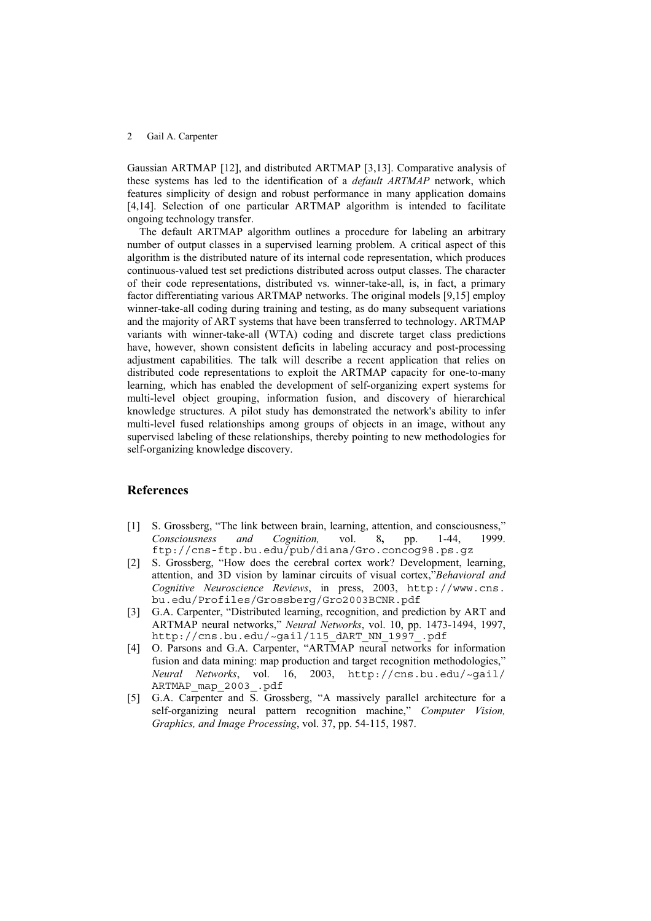Gaussian ARTMAP [12], and distributed ARTMAP [3,13]. Comparative analysis of these systems has led to the identification of a *default ARTMAP* network, which features simplicity of design and robust performance in many application domains [4,14]. Selection of one particular ARTMAP algorithm is intended to facilitate ongoing technology transfer.

The default ARTMAP algorithm outlines a procedure for labeling an arbitrary number of output classes in a supervised learning problem. A critical aspect of this algorithm is the distributed nature of its internal code representation, which produces continuous-valued test set predictions distributed across output classes. The character of their code representations, distributed vs. winner-take-all, is, in fact, a primary factor differentiating various ARTMAP networks. The original models [9,15] employ winner-take-all coding during training and testing, as do many subsequent variations and the majority of ART systems that have been transferred to technology. ARTMAP variants with winner-take-all (WTA) coding and discrete target class predictions have, however, shown consistent deficits in labeling accuracy and post-processing adjustment capabilities. The talk will describe a recent application that relies on distributed code representations to exploit the ARTMAP capacity for one-to-many learning, which has enabled the development of self-organizing expert systems for multi-level object grouping, information fusion, and discovery of hierarchical knowledge structures. A pilot study has demonstrated the network's ability to infer multi-level fused relationships among groups of objects in an image, without any supervised labeling of these relationships, thereby pointing to new methodologies for self-organizing knowledge discovery.

## **References**

- [1] S. Grossberg, "The link between brain, learning, attention, and consciousness," *Consciousness and Cognition,* vol. 8**,** pp. 1-44, 1999. ftp://cns-ftp.bu.edu/pub/diana/Gro.concog98.ps.gz
- [2] S. Grossberg, "How does the cerebral cortex work? Development, learning, attention, and 3D vision by laminar circuits of visual cortex,"*Behavioral and Cognitive Neuroscience Reviews*, in press, 2003, http://www.cns. bu.edu/Profiles/Grossberg/Gro2003BCNR.pdf
- [3] G.A. Carpenter, "Distributed learning, recognition, and prediction by ART and ARTMAP neural networks," *Neural Networks*, vol. 10, pp. 1473-1494, 1997, http://cns.bu.edu/~gail/115\_dART\_NN\_1997\_.pdf
- [4] O. Parsons and G.A. Carpenter, "ARTMAP neural networks for information fusion and data mining: map production and target recognition methodologies," *Neural Networks*, vol. 16, 2003, http://cns.bu.edu/~gail/ ARTMAP\_map\_2003\_.pdf
- [5] G.A. Carpenter and S. Grossberg, "A massively parallel architecture for a self-organizing neural pattern recognition machine," *Computer Vision, Graphics, and Image Processing*, vol. 37, pp. 54-115, 1987.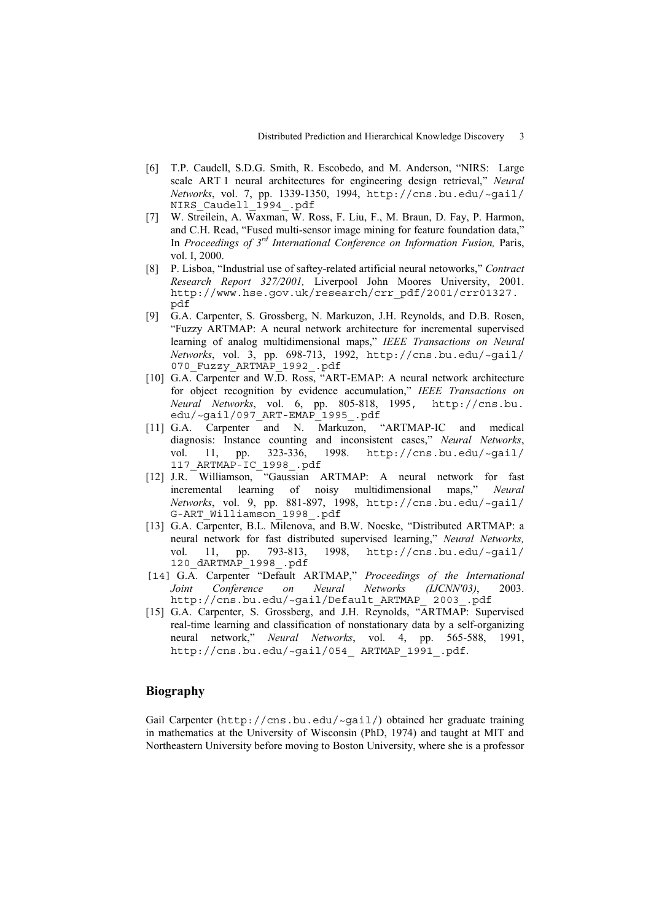- [6] T.P. Caudell, S.D.G. Smith, R. Escobedo, and M. Anderson, "NIRS: Large scale ART 1 neural architectures for engineering design retrieval," *Neural Networks*, vol. 7, pp. 1339-1350, 1994, http://cns.bu.edu/~gail/ NIRS\_Caudell\_1994\_.pdf
- [7] W. Streilein, A. Waxman, W. Ross, F. Liu, F., M. Braun, D. Fay, P. Harmon, and C.H. Read, "Fused multi-sensor image mining for feature foundation data," In *Proceedings of 3rd International Conference on Information Fusion,* Paris, vol. I, 2000.
- [8] P. Lisboa, "Industrial use of saftey-related artificial neural netoworks," *Contract Research Report 327/2001,* Liverpool John Moores University, 2001. http://www.hse.gov.uk/research/crr\_pdf/2001/crr01327. pdf
- [9] G.A. Carpenter, S. Grossberg, N. Markuzon, J.H. Reynolds, and D.B. Rosen, "Fuzzy ARTMAP: A neural network architecture for incremental supervised learning of analog multidimensional maps," *IEEE Transactions on Neural Networks*, vol. 3, pp. 698-713, 1992, http://cns.bu.edu/~gail/ 070 Fuzzy ARTMAP 1992 .pdf
- [10] G.A. Carpenter and W.D. Ross, "ART-EMAP: A neural network architecture for object recognition by evidence accumulation," *IEEE Transactions on Neural Networks*, vol. 6, pp. 805-818, 1995, http://cns.bu. edu/~gail/097\_ART-EMAP\_1995\_.pdf
- [11] G.A. Carpenter and N. Markuzon, "ARTMAP-IC and medical diagnosis: Instance counting and inconsistent cases," *Neural Networks*, vol. 11, pp. 323-336, 1998. http://cns.bu.edu/~gail/ 117\_ARTMAP-IC\_1998\_.pdf
- [12] J.R. Williamson, "Gaussian ARTMAP: A neural network for fast incremental learning of noisy multidimensional maps," *Neural Networks*, vol. 9, pp. 881-897, 1998, http://cns.bu.edu/~gail/ G-ART\_Williamson\_1998\_.pdf
- [13] G.A. Carpenter, B.L. Milenova, and B.W. Noeske, "Distributed ARTMAP: a neural network for fast distributed supervised learning," *Neural Networks,* vol. 11, pp. 793-813, 1998, http://cns.bu.edu/~gail/ 120\_dARTMAP\_1998\_.pdf
- [14] G.A. Carpenter "Default ARTMAP," *Proceedings of the International Joint Conference on Neural Networks (IJCNN'03)*, 2003. http://cns.bu.edu/~gail/Default\_ARTMAP\_2003 .pdf
- [15] G.A. Carpenter, S. Grossberg, and J.H. Reynolds, "ARTMAP: Supervised real-time learning and classification of nonstationary data by a self-organizing neural network," *Neural Networks*, vol. 4, pp. 565-588, 1991, http://cns.bu.edu/~gail/054\_ ARTMAP\_1991\_.pdf.

## **Biography**

Gail Carpenter (http://cns.bu.edu/~gail/) obtained her graduate training in mathematics at the University of Wisconsin (PhD, 1974) and taught at MIT and Northeastern University before moving to Boston University, where she is a professor